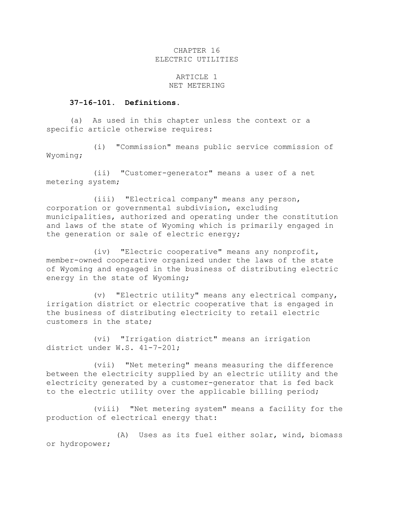## CHAPTER 16 ELECTRIC UTILITIES

## ARTICLE 1 NET METERING

## **37-16-101. Definitions.**

(a) As used in this chapter unless the context or a specific article otherwise requires:

(i) "Commission" means public service commission of Wyoming;

(ii) "Customer-generator" means a user of a net metering system;

(iii) "Electrical company" means any person, corporation or governmental subdivision, excluding municipalities, authorized and operating under the constitution and laws of the state of Wyoming which is primarily engaged in the generation or sale of electric energy;

(iv) "Electric cooperative" means any nonprofit, member-owned cooperative organized under the laws of the state of Wyoming and engaged in the business of distributing electric energy in the state of Wyoming;

(v) "Electric utility" means any electrical company, irrigation district or electric cooperative that is engaged in the business of distributing electricity to retail electric customers in the state;

(vi) "Irrigation district" means an irrigation district under W.S. 41-7-201;

(vii) "Net metering" means measuring the difference between the electricity supplied by an electric utility and the electricity generated by a customer-generator that is fed back to the electric utility over the applicable billing period;

(viii) "Net metering system" means a facility for the production of electrical energy that:

(A) Uses as its fuel either solar, wind, biomass or hydropower;